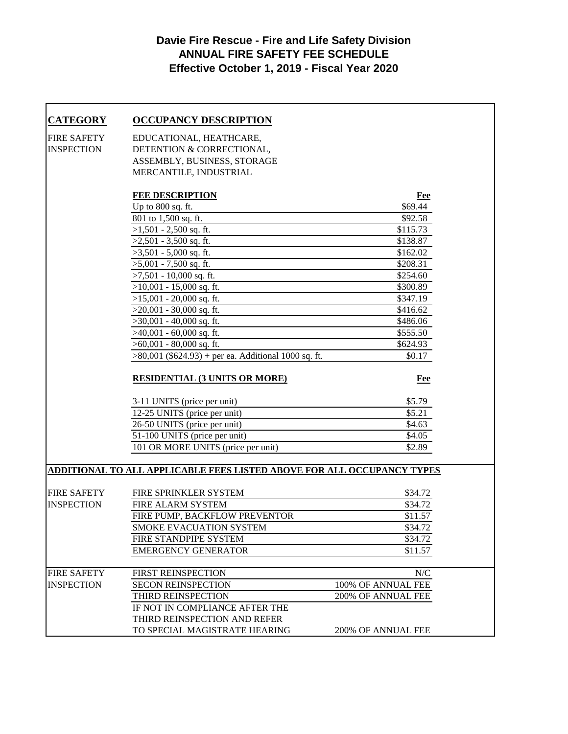## **Davie Fire Rescue - Fire and Life Safety Division ANNUAL FIRE SAFETY FEE SCHEDULE Effective October 1, 2019 - Fiscal Year 2020**

| <b>CATEGORY</b>                         | <b>OCCUPANCY DESCRIPTION</b>                                                  |                    |
|-----------------------------------------|-------------------------------------------------------------------------------|--------------------|
| <b>FIRE SAFETY</b>                      | EDUCATIONAL, HEATHCARE,                                                       |                    |
| <b>INSPECTION</b>                       | DETENTION & CORRECTIONAL,                                                     |                    |
|                                         | ASSEMBLY, BUSINESS, STORAGE                                                   |                    |
|                                         | MERCANTILE, INDUSTRIAL                                                        |                    |
|                                         | <b>FEE DESCRIPTION</b>                                                        | <b>Fee</b>         |
|                                         | Up to 800 sq. ft.                                                             | \$69.44            |
|                                         | 801 to 1,500 sq. ft.                                                          | \$92.58            |
|                                         | $>1,501 - 2,500$ sq. ft.                                                      | \$115.73           |
|                                         | $>2,501 - 3,500$ sq. ft.                                                      | \$138.87           |
|                                         | $>3,501 - 5,000$ sq. ft.                                                      | \$162.02           |
|                                         | $>5,001 - 7,500$ sq. ft.                                                      | \$208.31           |
|                                         | $>7,501 - 10,000$ sq. ft.                                                     | \$254.60           |
|                                         | $>10,001 - 15,000$ sq. ft.                                                    | \$300.89           |
|                                         | $>15,001 - 20,000$ sq. ft.                                                    | \$347.19           |
|                                         | $>20,001 - 30,000$ sq. ft.                                                    | \$416.62           |
|                                         | $>30,001 - 40,000$ sq. ft.                                                    | \$486.06           |
|                                         | $>40,001 - 60,000$ sq. ft.                                                    | \$555.50           |
|                                         | $>60,001 - 80,000$ sq. ft.                                                    | \$624.93           |
|                                         | $>80,001$ (\$624.93) + per ea. Additional 1000 sq. ft.                        | \$0.17             |
|                                         |                                                                               |                    |
|                                         | <b>RESIDENTIAL (3 UNITS OR MORE)</b>                                          | Fee                |
|                                         | 3-11 UNITS (price per unit)                                                   | \$5.79             |
|                                         | 12-25 UNITS (price per unit)                                                  | \$5.21             |
|                                         | 26-50 UNITS (price per unit)                                                  | \$4.63             |
|                                         | 51-100 UNITS (price per unit)                                                 | \$4.05             |
|                                         | 101 OR MORE UNITS (price per unit)                                            | \$2.89             |
|                                         | <u>ADDITIONAL TO ALL APPLICABLE FEES LISTED ABOVE FOR ALL OCCUPANCY TYPES</u> |                    |
| <b>FIRE SAFETY</b>                      | FIRE SPRINKLER SYSTEM                                                         | \$34.72            |
| <b>INSPECTION</b>                       | FIRE ALARM SYSTEM                                                             | \$34.72            |
|                                         | FIRE PUMP, BACKFLOW PREVENTOR                                                 | \$11.57            |
|                                         | SMOKE EVACUATION SYSTEM                                                       | \$34.72            |
|                                         | FIRE STANDPIPE SYSTEM                                                         | \$34.72            |
|                                         | <b>EMERGENCY GENERATOR</b>                                                    | \$11.57            |
|                                         |                                                                               |                    |
| <b>FIRE SAFETY</b><br><b>INSPECTION</b> | FIRST REINSPECTION                                                            | N/C                |
|                                         | <b>SECON REINSPECTION</b>                                                     | 100% OF ANNUAL FEE |
|                                         | THIRD REINSPECTION                                                            | 200% OF ANNUAL FEE |
|                                         | IF NOT IN COMPLIANCE AFTER THE                                                |                    |
|                                         | THIRD REINSPECTION AND REFER                                                  |                    |
|                                         | TO SPECIAL MAGISTRATE HEARING                                                 | 200% OF ANNUAL FEE |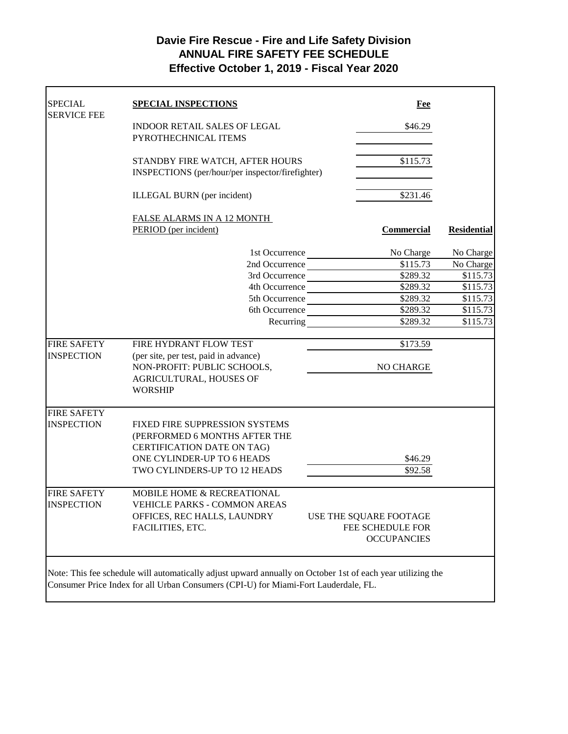## **Davie Fire Rescue - Fire and Life Safety Division ANNUAL FIRE SAFETY FEE SCHEDULE Effective October 1, 2019 - Fiscal Year 2020**

| <b>SPECIAL</b><br><b>SERVICE FEE</b> | <b>SPECIAL INSPECTIONS</b>                                                                                  | Fee                         |                    |
|--------------------------------------|-------------------------------------------------------------------------------------------------------------|-----------------------------|--------------------|
|                                      | <b>INDOOR RETAIL SALES OF LEGAL</b><br>PYROTHECHNICAL ITEMS                                                 | \$46.29                     |                    |
|                                      | STANDBY FIRE WATCH, AFTER HOURS<br>INSPECTIONS (per/hour/per inspector/firefighter)                         | \$115.73                    |                    |
|                                      | ILLEGAL BURN (per incident)                                                                                 | $\overline{$}231.46$        |                    |
|                                      | FALSE ALARMS IN A 12 MONTH                                                                                  |                             |                    |
|                                      | PERIOD (per incident)                                                                                       | <b>Commercial</b>           | <b>Residential</b> |
|                                      |                                                                                                             | No Charge<br>1st Occurrence | No Charge          |
|                                      |                                                                                                             | 2nd Occurrence<br>\$115.73  | No Charge          |
|                                      |                                                                                                             | \$289.32<br>3rd Occurrence  | \$115.73           |
|                                      |                                                                                                             | \$289.32<br>4th Occurrence  | \$115.73           |
|                                      |                                                                                                             | \$289.32<br>5th Occurrence  | \$115.73           |
|                                      |                                                                                                             | \$289.32<br>6th Occurrence  | \$115.73           |
|                                      | Recurring                                                                                                   | \$289.32                    | \$115.73           |
| <b>FIRE SAFETY</b>                   | FIRE HYDRANT FLOW TEST                                                                                      | \$173.59                    |                    |
| <b>INSPECTION</b>                    | (per site, per test, paid in advance)                                                                       |                             |                    |
|                                      | NON-PROFIT: PUBLIC SCHOOLS,                                                                                 | NO CHARGE                   |                    |
|                                      | AGRICULTURAL, HOUSES OF                                                                                     |                             |                    |
|                                      | <b>WORSHIP</b>                                                                                              |                             |                    |
| <b>FIRE SAFETY</b>                   |                                                                                                             |                             |                    |
| <b>INSPECTION</b>                    | FIXED FIRE SUPPRESSION SYSTEMS                                                                              |                             |                    |
|                                      | (PERFORMED 6 MONTHS AFTER THE                                                                               |                             |                    |
|                                      | <b>CERTIFICATION DATE ON TAG)</b>                                                                           |                             |                    |
|                                      | ONE CYLINDER-UP TO 6 HEADS                                                                                  | \$46.29                     |                    |
|                                      | TWO CYLINDERS-UP TO 12 HEADS                                                                                | \$92.58                     |                    |
| <b>FIRE SAFETY</b>                   | MOBILE HOME & RECREATIONAL                                                                                  |                             |                    |
| <b>INSPECTION</b>                    | VEHICLE PARKS - COMMON AREAS                                                                                |                             |                    |
|                                      | OFFICES, REC HALLS, LAUNDRY                                                                                 | USE THE SQUARE FOOTAGE      |                    |
|                                      | FACILITIES, ETC.                                                                                            | FEE SCHEDULE FOR            |                    |
|                                      |                                                                                                             | <b>OCCUPANCIES</b>          |                    |
|                                      |                                                                                                             |                             |                    |
|                                      | Note: This fee schedule will automatically adjust upward annually on October 1st of each year utilizing the |                             |                    |
|                                      | Consumer Price Index for all Urban Consumers (CPI-U) for Miami-Fort Lauderdale, FL.                         |                             |                    |